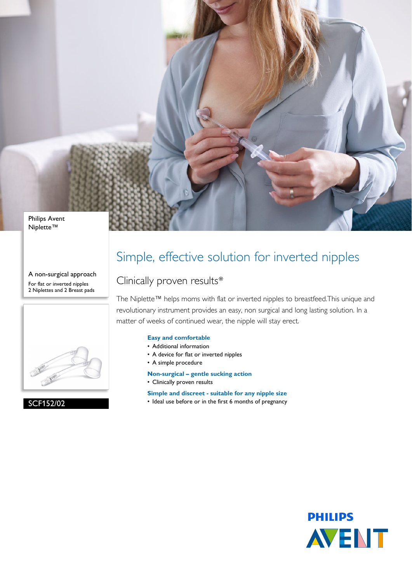

Niplette™

A non-surgical approach For flat or inverted nipples 2 Niplettes and 2 Breast pads



SCF152/02

## Simple, effective solution for inverted nipples

### Clinically proven results\*

The Niplette™ helps moms with flat or inverted nipples to breastfeed.This unique and revolutionary instrument provides an easy, non surgical and long lasting solution. In a matter of weeks of continued wear, the nipple will stay erect.

### **Easy and comfortable**

- Additional information
- A device for flat or inverted nipples
- A simple procedure
- **Non-surgical gentle sucking action**
- Clinically proven results

**Simple and discreet - suitable for any nipple size**

• Ideal use before or in the first 6 months of pregnancy